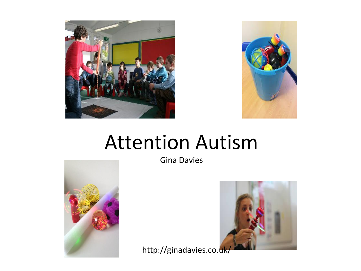



#### Attention Autism



Gina Davies



http://ginadavies.co.[uk/](https://www.google.co.uk/imgres?imgurl=http://asdteacher.com/wp-content/uploads/2015/09/Attention-autism-Steph.jpg&imgrefurl=http://asdteacher.com/attention-autism-stage-1-attention-bucket/&docid=4y_twZvxsVIlTM&tbnid=eAZub1DkBzxAsM:&vet=1&w=5184&h=3456&bih=673&biw=1366&ved=0ahUKEwiI18i0jJ_QAhVCxRQKHbS1CucQxiAIAg&iact=c&ictx=1)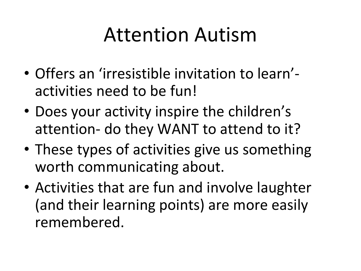### Attention Autism

- Offers an 'irresistible invitation to learn' activities need to be fun!
- Does your activity inspire the children's attention- do they WANT to attend to it?
- These types of activities give us something worth communicating about.
- Activities that are fun and involve laughter (and their learning points) are more easily remembered.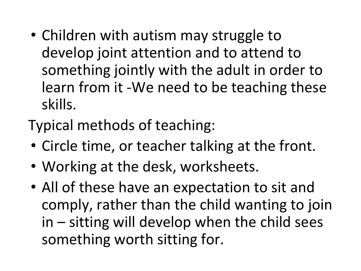- Children with autism may struggle to develop joint attention and to attend to something jointly with the adult in order to learn from it -We need to be teaching these skills.
- Typical methods of teaching:
- Circle time, or teacher talking at the front.
- Working at the desk, worksheets.
- All of these have an expectation to sit and comply, rather than the child wanting to join in – sitting will develop when the child sees something worth sitting for.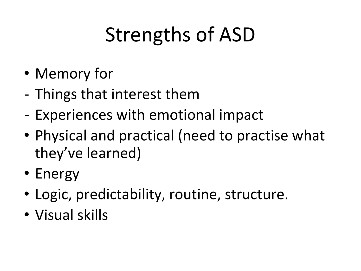# Strengths of ASD

- Memory for
- Things that interest them
- Experiences with emotional impact
- Physical and practical (need to practise what they've learned)
- Energy
- Logic, predictability, routine, structure.
- Visual skills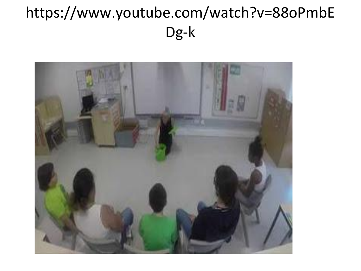#### https://www.youtube.com/watch?v=88oPmbE Dg-k

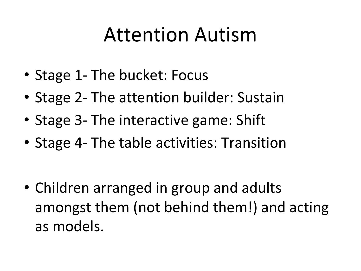### Attention Autism

- Stage 1- The bucket: Focus
- Stage 2- The attention builder: Sustain
- Stage 3- The interactive game: Shift
- Stage 4- The table activities: Transition

• Children arranged in group and adults amongst them (not behind them!) and acting as models.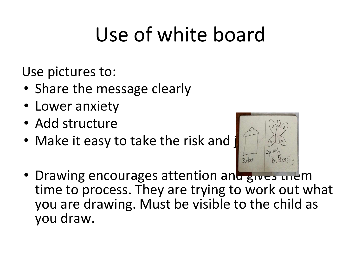# Use of white board

Use pictures to:

- Share the message clearly
- Lower anxiety
- Add structure
- Make it easy to take the risk and



• Drawing encourages attention and gives them time to process. They are trying to work out what you are drawing. Must be visible to the child as you draw.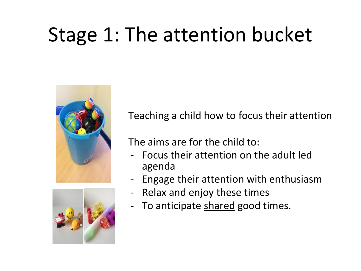## Stage 1: The attention bucket





Teaching a child how to focus their attention

The aims are for the child to:

- Focus their attention on the adult led agenda
- Engage their attention with enthusiasm
- Relax and enjoy these times
- To anticipate shared good times.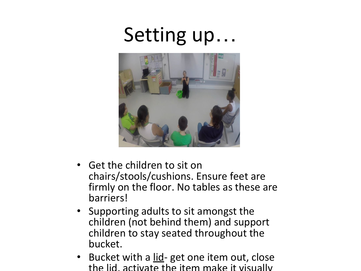### Setting up…



- Get the children to sit on chairs/stools/cushions. Ensure feet are firmly on the floor. No tables as these are barriers!
- Supporting adults to sit amongst the children (not behind them) and support children to stay seated throughout the bucket.
- Bucket with a <u>lid</u>- get one item out, close the lid, activate the item make it visually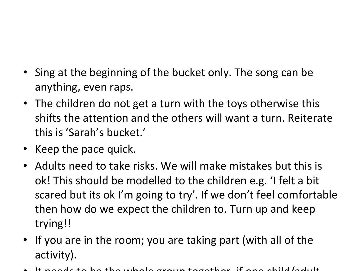- Sing at the beginning of the bucket only. The song can be anything, even raps.
- The children do not get a turn with the toys otherwise this shifts the attention and the others will want a turn. Reiterate this is 'Sarah's bucket.'
- Keep the pace quick.
- Adults need to take risks. We will make mistakes but this is ok! This should be modelled to the children e.g. 'I felt a bit scared but its ok I'm going to try'. If we don't feel comfortable then how do we expect the children to. Turn up and keep trying!!
- If you are in the room; you are taking part (with all of the activity).
- It needs to be the whole group together, if one child/adult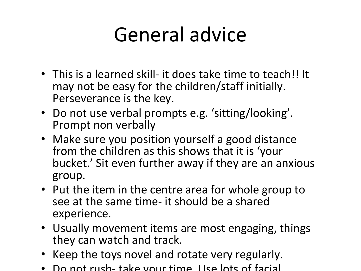## General advice

- This is a learned skill- it does take time to teach!! It may not be easy for the children/staff initially. Perseverance is the key.
- Do not use verbal prompts e.g. 'sitting/looking'. Prompt non verbally
- Make sure you position yourself a good distance from the children as this shows that it is 'your bucket.' Sit even further away if they are an anxious group.
- Put the item in the centre area for whole group to see at the same time- it should be a shared experience.
- Usually movement items are most engaging, things they can watch and track.
- Keep the toys novel and rotate very regularly.
- Do not rush- take your time. Use lots of facial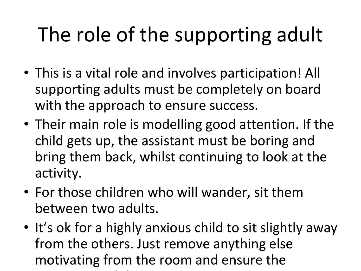# The role of the supporting adult

- This is a vital role and involves participation! All supporting adults must be completely on board with the approach to ensure success.
- Their main role is modelling good attention. If the child gets up, the assistant must be boring and bring them back, whilst continuing to look at the activity.
- For those children who will wander, sit them between two adults.
- It's ok for a highly anxious child to sit slightly away from the others. Just remove anything else motivating from the room and ensure the supporting adults are not motivating. The contract of motivating adults are not motivating. The contract of motivating  $\alpha$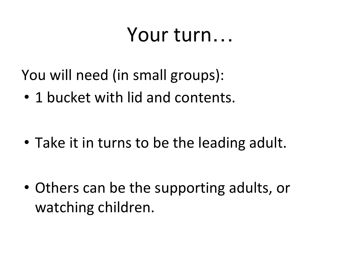### Your turn…

You will need (in small groups):

• 1 bucket with lid and contents.

• Take it in turns to be the leading adult.

• Others can be the supporting adults, or watching children.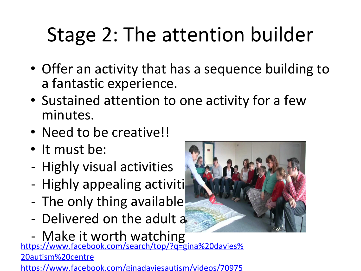# Stage 2: The attention builder

- Offer an activity that has a sequence building to a fantastic experience.
- Sustained attention to one activity for a few minutes.
- Need to be creative!!
- It must be:
- Highly visual activities
- Highly appealing activiti
- The only thing available
- Delivered on the adult a
- Make it worth watching

[https://www.facebook.com/search/top/?q=gina%20davies%](https://www.facebook.com/search/top/?q=gina%20davies%20autism%20centre) [20autism%20centre](https://www.facebook.com/search/top/?q=gina%20davies%20autism%20centre)

[https://www.facebook.com/ginadaviesautism/videos/70975](https://www.facebook.com/ginadaviesautism/videos/709756395825186/)

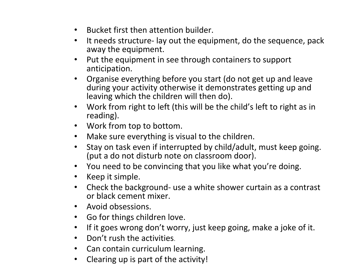- Bucket first then attention builder.
- It needs structure- lay out the equipment, do the sequence, pack away the equipment.
- Put the equipment in see through containers to support anticipation.
- Organise everything before you start (do not get up and leave during your activity otherwise it demonstrates getting up and leaving which the children will then do).
- Work from right to left (this will be the child's left to right as in reading).
- Work from top to bottom.
- Make sure everything is visual to the children.
- Stay on task even if interrupted by child/adult, must keep going. (put a do not disturb note on classroom door).
- You need to be convincing that you like what you're doing.
- Keep it simple.
- Check the background- use a white shower curtain as a contrast or black cement mixer.
- Avoid obsessions.
- Go for things children love.
- If it goes wrong don't worry, just keep going, make a joke of it.
- Don't rush the activities.
- Can contain curriculum learning.
- Clearing up is part of the activity!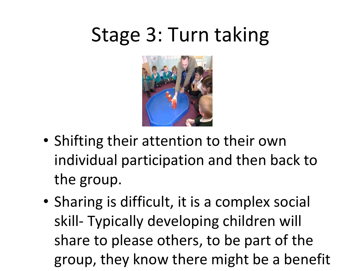## Stage 3: Turn taking



- Shifting their attention to their own individual participation and then back to the group.
- Sharing is difficult, it is a complex social skill- Typically developing children will share to please others, to be part of the group, they know there might be a benefit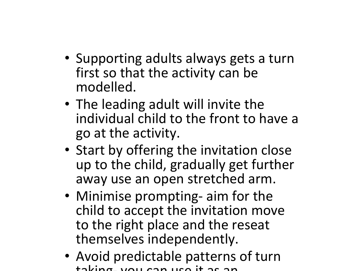- Supporting adults always gets a turn first so that the activity can be modelled.
- The leading adult will invite the individual child to the front to have a go at the activity.
- Start by offering the invitation close up to the child, gradually get further away use an open stretched arm.
- Minimise prompting- aim for the child to accept the invitation move to the right place and the reseat themselves independently.
- Avoid predictable patterns of turn taking- you can use it as an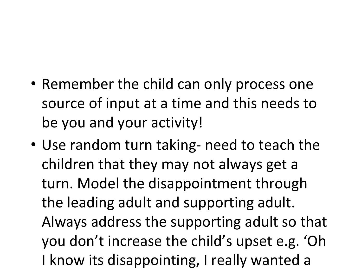- Remember the child can only process one source of input at a time and this needs to be you and your activity!
- Use random turn taking- need to teach the children that they may not always get a turn. Model the disappointment through the leading adult and supporting adult. Always address the supporting adult so that you don't increase the child's upset e.g. 'Oh I know its disappointing, I really wanted a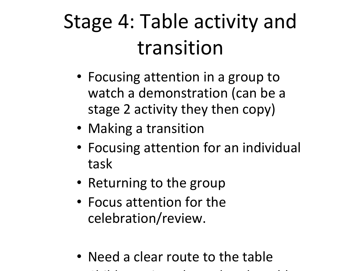# Stage 4: Table activity and transition

- Focusing attention in a group to watch a demonstration (can be a stage 2 activity they then copy)
- Making a transition
- Focusing attention for an individual task
- Returning to the group
- Focus attention for the celebration/review.
- Need a clear route to the table
- Child can sit and stand at the table.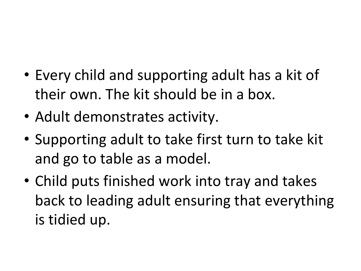- Every child and supporting adult has a kit of their own. The kit should be in a box.
- Adult demonstrates activity.
- Supporting adult to take first turn to take kit and go to table as a model.
- Child puts finished work into tray and takes back to leading adult ensuring that everything is tidied up.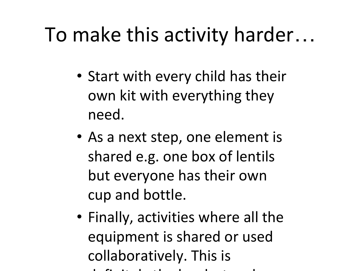### To make this activity harder…

- Start with every child has their own kit with everything they need.
- As a next step, one element is shared e.g. one box of lentils but everyone has their own cup and bottle.
- Finally, activities where all the equipment is shared or used collaboratively. This is definitely the hardest and hardest and hardest and hardest and hardest and hardest and hardest and hardest and
	-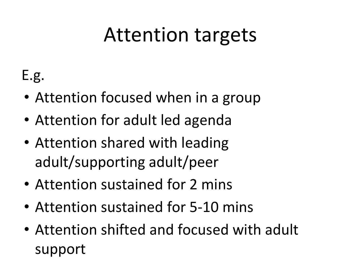### Attention targets

E.g.

- Attention focused when in a group
- Attention for adult led agenda
- Attention shared with leading adult/supporting adult/peer
- Attention sustained for 2 mins
- Attention sustained for 5-10 mins
- Attention shifted and focused with adult support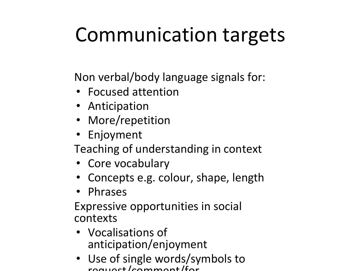## Communication targets

Non verbal/body language signals for:

- Focused attention
- Anticipation
- More/repetition
- Enjoyment

Teaching of understanding in context

- Core vocabulary
- Concepts e.g. colour, shape, length
- Phrases

Expressive opportunities in social contexts

- Vocalisations of anticipation/enjoyment
- Use of single words/symbols to request/comment/for